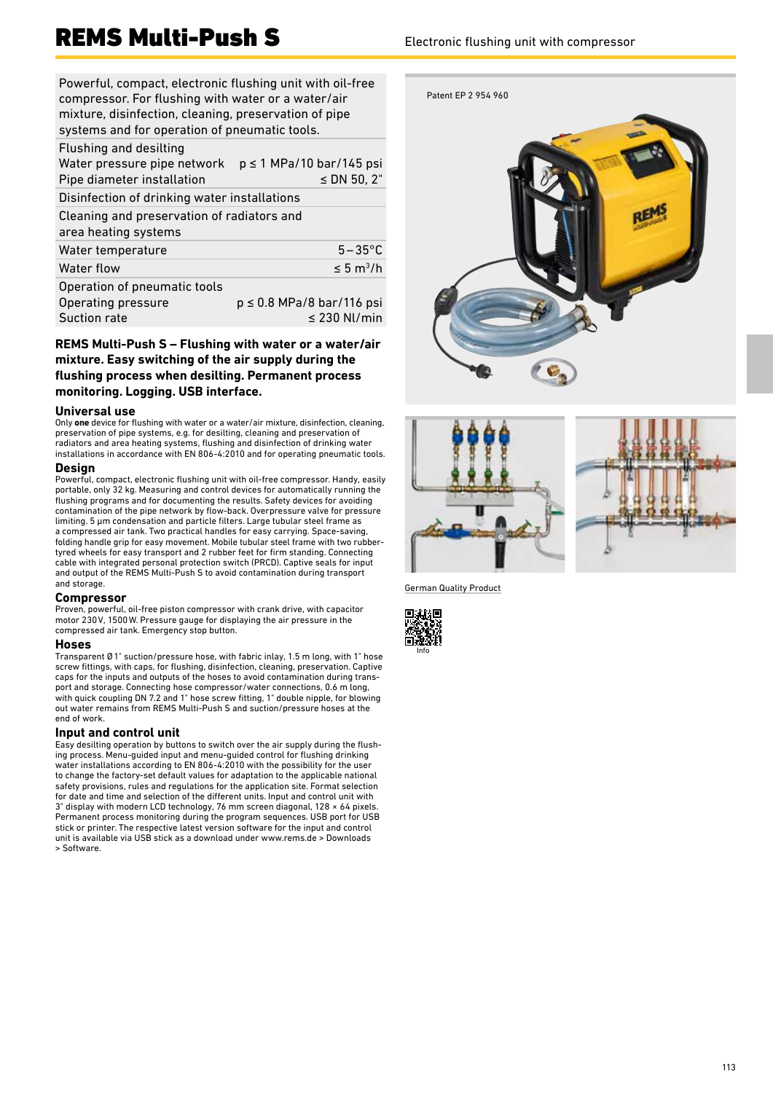# REMS Multi-Push S<br>Electronic flushing unit with compressor

Powerful, compact, electronic flushing unit with oil-free compressor. For flushing with water or a water/air mixture, disinfection, cleaning, preservation of pipe systems and for operation of pneumatic tools.

| $p \le 1$ MPa/10 bar/145 psi<br>$\leq$ DN 50, 2"   |
|----------------------------------------------------|
| Disinfection of drinking water installations       |
| Cleaning and preservation of radiators and         |
| $5-35$ °C                                          |
| $\leq 5 \text{ m}^3/\text{h}$                      |
| $p \le 0.8$ MPa/8 bar/116 psi<br>$\leq$ 230 Nl/min |
|                                                    |

# **REMS Multi-Push S – Flushing with water or a water/air mixture. Easy switching of the air supply during the flushing process when desilting. Permanent process monitoring. Logging. USB interface.**

### **Universal use**

Only **one** device for flushing with water or a water/air mixture, disinfection, cleaning, preservation of pipe systems, e.g. for desilting, cleaning and preservation of radiators and area heating systems, flushing and disinfection of drinking water installations in accordance with EN 806‑4:2010 and for operating pneumatic tools.

# **Design**

Powerful, compact, electronic flushing unit with oil-free compressor. Handy, easily portable, only 32 kg. Measuring and control devices for automatically running the flushing programs and for documenting the results. Safety devices for avoiding contamination of the pipe network by flow-back. Overpressure valve for pressure limiting. 5 μm condensation and particle filters. Large tubular steel frame as a compressed air tank. Two practical handles for easy carrying. Space-saving, folding handle grip for easy movement. Mobile tubular steel frame with two rubber-tyred wheels for easy transport and 2 rubber feet for firm standing. Connecting cable with integrated personal protection switch (PRCD). Captive seals for input and output of the REMS Multi-Push S to avoid contamination during transport and storage.

### **Compressor**

Proven, powerful, oil-free piston compressor with crank drive, with capacitor motor 230V, 1500W. Pressure gauge for displaying the air pressure in the compressed air tank. Emergency stop button.

# **Hoses**

Transparent Ø 1" suction/pressure hose, with fabric inlay, 1.5 m long, with 1" hose screw fittings, with caps, for flushing, disinfection, cleaning, preservation. Captive caps for the inputs and outputs of the hoses to avoid contamination during transport and storage. Connecting hose compressor/water connections, 0.6 m long, with quick coupling DN 7.2 and 1" hose screw fitting, 1" double nipple, for blowing out water remains from REMS Multi-Push S and suction/pressure hoses at the end of work.

# **Input and control unit**

Easy desilting operation by buttons to switch over the air supply during the flushing process. Menu-guided input and menu-guided control for flushing drinking water installations according to EN 806-4:2010 with the possibility for the user to change the factory-set default values for adaptation to the applicable national safety provisions, rules and regulations for the application site. Format selection for date and time and selection of the different units. Input and control unit with<br>3" display with modern LCD technology, 76 mm screen diagonal, 128 × 64 pixels. Permanent process monitoring during the program sequences. USB port for USB stick or printer. The respective latest version software for the input and control unit is available via USB stick as a download under www.rems.de > Downloads > Software.







German Quality Product

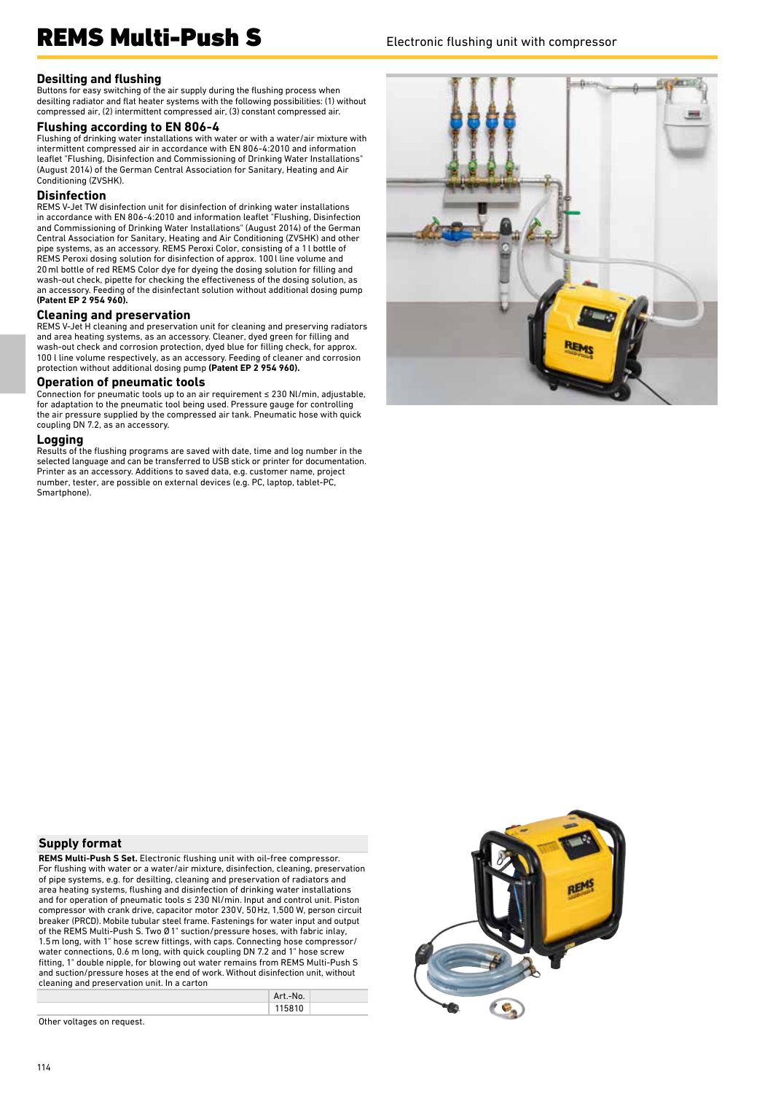# REMS Multi-Push S<br>Electronic flushing unit with compressor

# **Desilting and flushing**

Buttons for easy switching of the air supply during the flushing process when desilting radiator and flat heater systems with the following possibilities: (1) without compressed air, (2) intermittent compressed air, (3) constant compressed air.

#### **Flushing according to EN 806-4**

Flushing of drinking water installations with water or with a water/air mixture with intermittent compressed air in accordance with EN 806-4:2010 and information leaflet "Flushing, Disinfection and Commissioning of Drinking Water Installations" (August 2014) of the German Central Association for Sanitary, Heating and Air Conditioning (ZVSHK).

### **Disinfection**

REMS V-Jet TW disinfection unit for disinfection of drinking water installations in accordance with EN 806-4:2010 and information leaflet "Flushing, Disinfection and Commissioning of Drinking Water Installations" (August 2014) of the German Central Association for Sanitary, Heating and Air Conditioning (ZVSHK) and other pipe systems, as an accessory. REMS Peroxi Color, consisting of a 1l bottle of REMS Peroxi dosing solution for disinfection of approx. 100l line volume and 20ml bottle of red REMS Color dye for dyeing the dosing solution for filling and wash-out check, pipette for checking the effectiveness of the dosing solution, as an accessory. Feeding of the disinfectant solution without additional dosing pump **(Patent EP 2 954 960).**

# **Cleaning and preservation**

REMS V-Jet H cleaning and preservation unit for cleaning and preserving radiators and area heating systems, as an accessory. Cleaner, dyed green for filling and wash-out check and corrosion protection, dyed blue for filling check, for approx. 100 l line volume respectively, as an accessory. Feeding of cleaner and corrosion protection without additional dosing pump **(Patent EP 2 954 960).**

### **Operation of pneumatic tools**

Connection for pneumatic tools up to an air requirement ≤ 230 Nl/min, adjustable, for adaptation to the pneumatic tool being used. Pressure gauge for controlling the air pressure supplied by the compressed air tank. Pneumatic hose with quick coupling DN 7.2, as an accessory.

#### **Logging**

Results of the flushing programs are saved with date, time and log number in the selected language and can be transferred to USB stick or printer for documentation. Printer as an accessory. Additions to saved data, e.g. customer name, project number, tester, are possible on external devices (e.g. PC, laptop, tablet-PC, Smartphone).



# **Supply format**

**REMS Multi-Push S Set.** Electronic flushing unit with oil-free compressor. For flushing with water or a water/air mixture, disinfection, cleaning, preservation of pipe systems, e.g. for desilting, cleaning and preservation of radiators and area heating systems, flushing and disinfection of drinking water installations and for operation of pneumatic tools ≤ 230 Nl/min. Input and control unit. Piston compressor with crank drive, capacitor motor 230V, 50Hz, 1,500 W, person circuit breaker (PRCD). Mobile tubular steel frame. Fastenings for water input and output of the REMS Multi-Push S. Two Ø 1" suction/pressure hoses, with fabric inlay, 1.5 m long, with 1" hose screw fittings, with caps. Connecting hose compressor/ water connections, 0.6 m long, with quick coupling DN 7.2 and 1" hose screw fitting, 1" double nipple, for blowing out water remains from REMS Multi-Push S and suction/pressure hoses at the end of work. Without disinfection unit, without cleaning and preservation unit. In a carton

|  | Art.-No. |  |
|--|----------|--|
|  | 115810   |  |